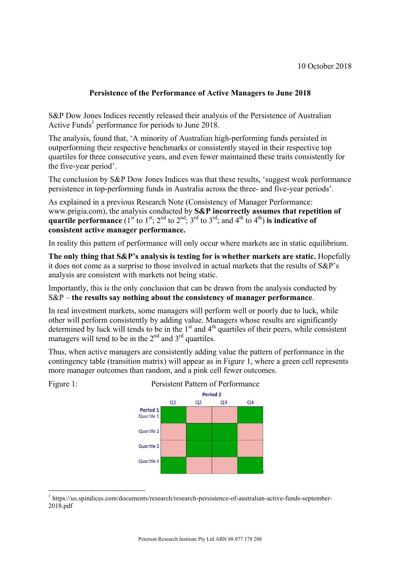## **Persistence of the Performance of Active Managers to June 2018**

S&P Dow Jones Indices recently released their analysis of the Persistence of Australian Active Funds<sup>1</sup> performance for periods to June 2018.

The analysis, found that, 'A minority of Australian high-performing funds persisted in outperforming their respective benchmarks or consistently stayed in their respective top quartiles for three consecutive years, and even fewer maintained these traits consistently for the five-year period'.

The conclusion by S&P Dow Jones Indices was that these results, 'suggest weak performance persistence in top-performing funds in Australia across the three- and five-year periods'.

As explained in a previous Research Note (Consistency of Manager Performance: www.prigia.com), the analysis conducted by **S&P incorrectly assumes that repetition of quartile performance** ( $1^{st}$  to  $1^{st}$ ;  $2^{nd}$  to  $2^{nd}$ ;  $3^{rd}$  to  $3^{rd}$ ; and  $4^{th}$  to  $4^{th}$ ) is indicative of **consistent active manager performance.**

In reality this pattern of performance will only occur where markets are in static equilibrium.

**The only thing that S&P's analysis is testing for is whether markets are static.** Hopefully it does not come as a surprise to those involved in actual markets that the results of S&P's analysis are consistent with markets not being static.

Importantly, this is the only conclusion that can be drawn from the analysis conducted by S&P – **the results say nothing about the consistency of manager performance**.

In real investment markets, some managers will perform well or poorly due to luck, while other will perform consistently by adding value. Managers whose results are significantly determined by luck will tends to be in the  $1<sup>st</sup>$  and  $4<sup>th</sup>$  quartiles of their peers, while consistent managers will tend to be in the  $2<sup>nd</sup>$  and  $3<sup>rd</sup>$  quartiles.

Thus, when active managers are consistently adding value the pattern of performance in the contingency table (transition matrix) will appear as in Figure 1, where a green cell represents more manager outcomes than random, and a pink cell fewer outcomes.



 <sup>1</sup> https://us.spindices.com/documents/research/research-persistence-of-australian-active-funds-september-2018.pdf